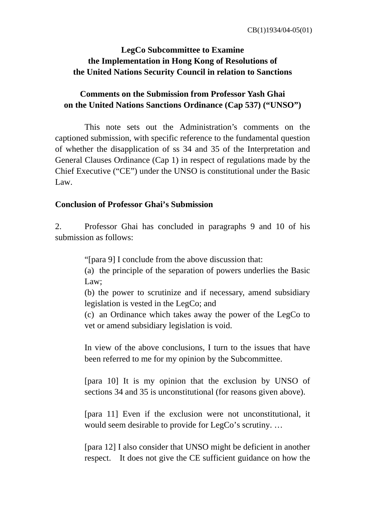## **LegCo Subcommittee to Examine the Implementation in Hong Kong of Resolutions of the United Nations Security Council in relation to Sanctions**

## **Comments on the Submission from Professor Yash Ghai on the United Nations Sanctions Ordinance (Cap 537) ("UNSO")**

 This note sets out the Administration's comments on the captioned submission, with specific reference to the fundamental question of whether the disapplication of ss 34 and 35 of the Interpretation and General Clauses Ordinance (Cap 1) in respect of regulations made by the Chief Executive ("CE") under the UNSO is constitutional under the Basic Law.

#### **Conclusion of Professor Ghai's Submission**

2. Professor Ghai has concluded in paragraphs 9 and 10 of his submission as follows:

"[para 9] I conclude from the above discussion that:

(a) the principle of the separation of powers underlies the Basic Law;

(b) the power to scrutinize and if necessary, amend subsidiary legislation is vested in the LegCo; and

(c) an Ordinance which takes away the power of the LegCo to vet or amend subsidiary legislation is void.

In view of the above conclusions, I turn to the issues that have been referred to me for my opinion by the Subcommittee.

[para 10] It is my opinion that the exclusion by UNSO of sections 34 and 35 is unconstitutional (for reasons given above).

[para 11] Even if the exclusion were not unconstitutional, it would seem desirable to provide for LegCo's scrutiny. …

[para 12] I also consider that UNSO might be deficient in another respect. It does not give the CE sufficient guidance on how the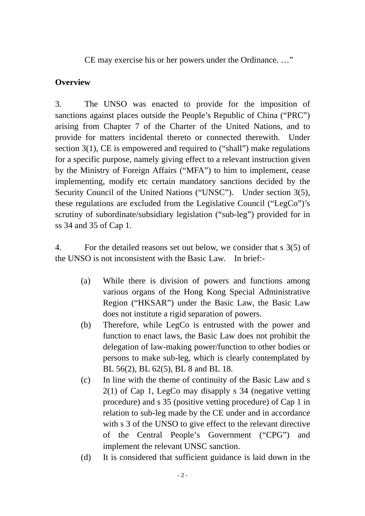CE may exercise his or her powers under the Ordinance. …"

## **Overview**

3. The UNSO was enacted to provide for the imposition of sanctions against places outside the People's Republic of China ("PRC") arising from Chapter 7 of the Charter of the United Nations, and to provide for matters incidental thereto or connected therewith. Under section 3(1), CE is empowered and required to ("shall") make regulations for a specific purpose, namely giving effect to a relevant instruction given by the Ministry of Foreign Affairs ("MFA") to him to implement, cease implementing, modify etc certain mandatory sanctions decided by the Security Council of the United Nations ("UNSC"). Under section 3(5), these regulations are excluded from the Legislative Council ("LegCo")'s scrutiny of subordinate/subsidiary legislation ("sub-leg") provided for in ss 34 and 35 of Cap 1.

4. For the detailed reasons set out below, we consider that s 3(5) of the UNSO is not inconsistent with the Basic Law. In brief:-

- (a) While there is division of powers and functions among various organs of the Hong Kong Special Administrative Region ("HKSAR") under the Basic Law, the Basic Law does not institute a rigid separation of powers.
- (b) Therefore, while LegCo is entrusted with the power and function to enact laws, the Basic Law does not prohibit the delegation of law-making power/function to other bodies or persons to make sub-leg, which is clearly contemplated by BL 56(2), BL 62(5), BL 8 and BL 18.
- (c) In line with the theme of continuity of the Basic Law and s 2(1) of Cap 1, LegCo may disapply s 34 (negative vetting procedure) and s 35 (positive vetting procedure) of Cap 1 in relation to sub-leg made by the CE under and in accordance with s 3 of the UNSO to give effect to the relevant directive of the Central People's Government ("CPG") and implement the relevant UNSC sanction.
- (d) It is considered that sufficient guidance is laid down in the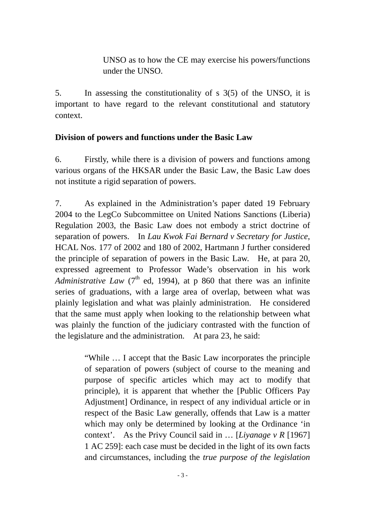UNSO as to how the CE may exercise his powers/functions under the UNSO.

5. In assessing the constitutionality of s 3(5) of the UNSO, it is important to have regard to the relevant constitutional and statutory context.

#### **Division of powers and functions under the Basic Law**

6. Firstly, while there is a division of powers and functions among various organs of the HKSAR under the Basic Law, the Basic Law does not institute a rigid separation of powers.

7. As explained in the Administration's paper dated 19 February 2004 to the LegCo Subcommittee on United Nations Sanctions (Liberia) Regulation 2003, the Basic Law does not embody a strict doctrine of separation of powers. In *Lau Kwok Fai Bernard v Secretary for Justice*, HCAL Nos. 177 of 2002 and 180 of 2002, Hartmann J further considered the principle of separation of powers in the Basic Law. He, at para 20, expressed agreement to Professor Wade's observation in his work *Administrative Law* (7<sup>th</sup> ed, 1994), at p 860 that there was an infinite series of graduations, with a large area of overlap, between what was plainly legislation and what was plainly administration. He considered that the same must apply when looking to the relationship between what was plainly the function of the judiciary contrasted with the function of the legislature and the administration. At para 23, he said:

> "While … I accept that the Basic Law incorporates the principle of separation of powers (subject of course to the meaning and purpose of specific articles which may act to modify that principle), it is apparent that whether the [Public Officers Pay Adjustment] Ordinance, in respect of any individual article or in respect of the Basic Law generally, offends that Law is a matter which may only be determined by looking at the Ordinance 'in context'. As the Privy Council said in … [*Liyanage v R* [1967] 1 AC 259]: each case must be decided in the light of its own facts and circumstances, including the *true purpose of the legislation*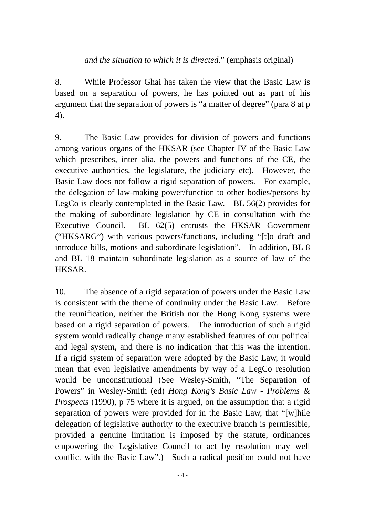#### *and the situation to which it is directed*." (emphasis original)

8. While Professor Ghai has taken the view that the Basic Law is based on a separation of powers, he has pointed out as part of his argument that the separation of powers is "a matter of degree" (para 8 at p 4).

9. The Basic Law provides for division of powers and functions among various organs of the HKSAR (see Chapter IV of the Basic Law which prescribes, inter alia, the powers and functions of the CE, the executive authorities, the legislature, the judiciary etc). However, the Basic Law does not follow a rigid separation of powers. For example, the delegation of law-making power/function to other bodies/persons by LegCo is clearly contemplated in the Basic Law. BL 56(2) provides for the making of subordinate legislation by CE in consultation with the Executive Council. BL 62(5) entrusts the HKSAR Government ("HKSARG") with various powers/functions, including "[t]o draft and introduce bills, motions and subordinate legislation". In addition, BL 8 and BL 18 maintain subordinate legislation as a source of law of the HKSAR.

10. The absence of a rigid separation of powers under the Basic Law is consistent with the theme of continuity under the Basic Law. Before the reunification, neither the British nor the Hong Kong systems were based on a rigid separation of powers. The introduction of such a rigid system would radically change many established features of our political and legal system, and there is no indication that this was the intention. If a rigid system of separation were adopted by the Basic Law, it would mean that even legislative amendments by way of a LegCo resolution would be unconstitutional (See Wesley-Smith, "The Separation of Powers" in Wesley-Smith (ed) *Hong Kong's Basic Law - Problems & Prospects* (1990), p 75 where it is argued, on the assumption that a rigid separation of powers were provided for in the Basic Law, that "[w]hile delegation of legislative authority to the executive branch is permissible, provided a genuine limitation is imposed by the statute, ordinances empowering the Legislative Council to act by resolution may well conflict with the Basic Law".) Such a radical position could not have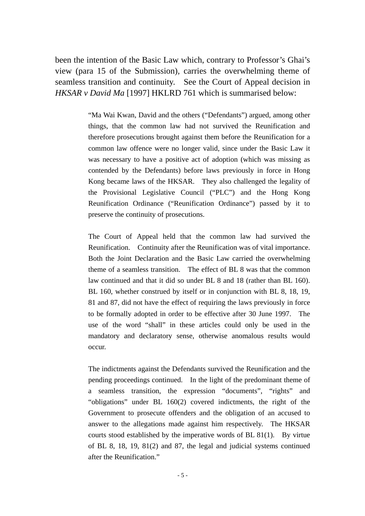been the intention of the Basic Law which, contrary to Professor's Ghai's view (para 15 of the Submission), carries the overwhelming theme of seamless transition and continuity. See the Court of Appeal decision in *HKSAR v David Ma* [1997] HKLRD 761 which is summarised below:

> "Ma Wai Kwan, David and the others ("Defendants") argued, among other things, that the common law had not survived the Reunification and therefore prosecutions brought against them before the Reunification for a common law offence were no longer valid, since under the Basic Law it was necessary to have a positive act of adoption (which was missing as contended by the Defendants) before laws previously in force in Hong Kong became laws of the HKSAR. They also challenged the legality of the Provisional Legislative Council ("PLC") and the Hong Kong Reunification Ordinance ("Reunification Ordinance") passed by it to preserve the continuity of prosecutions.

> The Court of Appeal held that the common law had survived the Reunification. Continuity after the Reunification was of vital importance. Both the Joint Declaration and the Basic Law carried the overwhelming theme of a seamless transition. The effect of BL 8 was that the common law continued and that it did so under BL 8 and 18 (rather than BL 160). BL 160, whether construed by itself or in conjunction with BL 8, 18, 19, 81 and 87, did not have the effect of requiring the laws previously in force to be formally adopted in order to be effective after 30 June 1997. The use of the word "shall" in these articles could only be used in the mandatory and declaratory sense, otherwise anomalous results would occur.

> The indictments against the Defendants survived the Reunification and the pending proceedings continued. In the light of the predominant theme of a seamless transition, the expression "documents", "rights" and "obligations" under BL 160(2) covered indictments, the right of the Government to prosecute offenders and the obligation of an accused to answer to the allegations made against him respectively. The HKSAR courts stood established by the imperative words of BL 81(1). By virtue of BL 8, 18, 19, 81(2) and 87, the legal and judicial systems continued after the Reunification."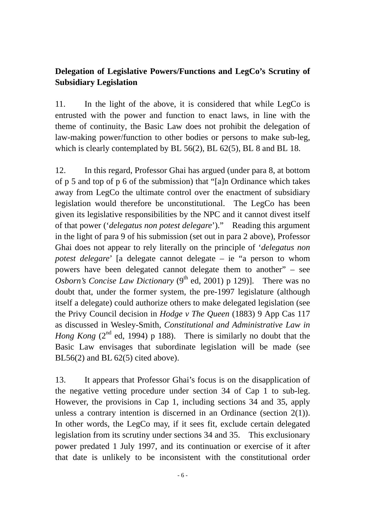# **Delegation of Legislative Powers/Functions and LegCo's Scrutiny of Subsidiary Legislation**

11. In the light of the above, it is considered that while LegCo is entrusted with the power and function to enact laws, in line with the theme of continuity, the Basic Law does not prohibit the delegation of law-making power/function to other bodies or persons to make sub-leg, which is clearly contemplated by BL 56(2), BL 62(5), BL 8 and BL 18.

12. In this regard, Professor Ghai has argued (under para 8, at bottom of p 5 and top of p 6 of the submission) that "[a]n Ordinance which takes away from LegCo the ultimate control over the enactment of subsidiary legislation would therefore be unconstitutional. The LegCo has been given its legislative responsibilities by the NPC and it cannot divest itself of that power ('*delegatus non potest delegare*')." Reading this argument in the light of para 9 of his submission (set out in para 2 above), Professor Ghai does not appear to rely literally on the principle of '*delegatus non potest delegare*' [a delegate cannot delegate – ie "a person to whom powers have been delegated cannot delegate them to another" – see *Osborn's Concise Law Dictionary* ( $9<sup>th</sup>$  ed, 2001) p 129)]. There was no doubt that, under the former system, the pre-1997 legislature (although itself a delegate) could authorize others to make delegated legislation (see the Privy Council decision in *Hodge v The Queen* (1883) 9 App Cas 117 as discussed in Wesley-Smith, *Constitutional and Administrative Law in Hong Kong* (2<sup>nd</sup> ed, 1994) p 188). There is similarly no doubt that the Basic Law envisages that subordinate legislation will be made (see BL56(2) and BL  $62(5)$  cited above).

13. It appears that Professor Ghai's focus is on the disapplication of the negative vetting procedure under section 34 of Cap 1 to sub-leg. However, the provisions in Cap 1, including sections 34 and 35, apply unless a contrary intention is discerned in an Ordinance (section 2(1)). In other words, the LegCo may, if it sees fit, exclude certain delegated legislation from its scrutiny under sections 34 and 35. This exclusionary power predated 1 July 1997, and its continuation or exercise of it after that date is unlikely to be inconsistent with the constitutional order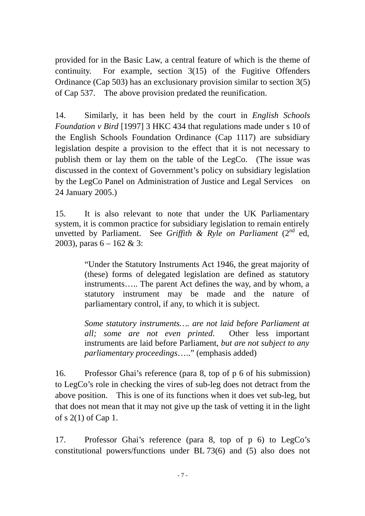provided for in the Basic Law, a central feature of which is the theme of continuity. For example, section 3(15) of the Fugitive Offenders Ordinance (Cap 503) has an exclusionary provision similar to section 3(5) of Cap 537. The above provision predated the reunification.

14. Similarly, it has been held by the court in *English Schools Foundation v Bird* [1997] 3 HKC 434 that regulations made under s 10 of the English Schools Foundation Ordinance (Cap 1117) are subsidiary legislation despite a provision to the effect that it is not necessary to publish them or lay them on the table of the LegCo. (The issue was discussed in the context of Government's policy on subsidiary legislation by the LegCo Panel on Administration of Justice and Legal Services on 24 January 2005.)

15. It is also relevant to note that under the UK Parliamentary system, it is common practice for subsidiary legislation to remain entirely unvetted by Parliament. See *Griffith & Ryle on Parliament* (2<sup>nd</sup> ed, 2003), paras  $6 - 162 \& 3$ :

> "Under the Statutory Instruments Act 1946, the great majority of (these) forms of delegated legislation are defined as statutory instruments….. The parent Act defines the way, and by whom, a statutory instrument may be made and the nature of parliamentary control, if any, to which it is subject.

> *Some statutory instruments…. are not laid before Parliament at all; some are not even printed*. Other less important instruments are laid before Parliament, *but are not subject to any parliamentary proceedings*….." (emphasis added)

16. Professor Ghai's reference (para 8, top of p 6 of his submission) to LegCo's role in checking the vires of sub-leg does not detract from the above position. This is one of its functions when it does vet sub-leg, but that does not mean that it may not give up the task of vetting it in the light of s 2(1) of Cap 1.

17. Professor Ghai's reference (para 8, top of p 6) to LegCo's constitutional powers/functions under BL 73(6) and (5) also does not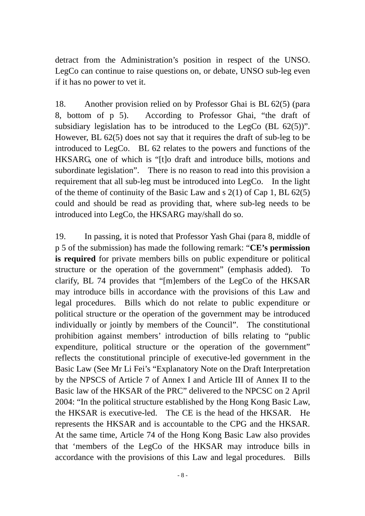detract from the Administration's position in respect of the UNSO. LegCo can continue to raise questions on, or debate, UNSO sub-leg even if it has no power to vet it.

18. Another provision relied on by Professor Ghai is BL 62(5) (para 8, bottom of p 5). According to Professor Ghai, "the draft of subsidiary legislation has to be introduced to the LegCo (BL 62(5))". However, BL 62(5) does not say that it requires the draft of sub-leg to be introduced to LegCo. BL 62 relates to the powers and functions of the HKSARG, one of which is "[t]o draft and introduce bills, motions and subordinate legislation". There is no reason to read into this provision a requirement that all sub-leg must be introduced into LegCo. In the light of the theme of continuity of the Basic Law and s 2(1) of Cap 1, BL 62(5) could and should be read as providing that, where sub-leg needs to be introduced into LegCo, the HKSARG may/shall do so.

19. In passing, it is noted that Professor Yash Ghai (para 8, middle of p 5 of the submission) has made the following remark: "**CE's permission is required** for private members bills on public expenditure or political structure or the operation of the government" (emphasis added). To clarify, BL 74 provides that "[m]embers of the LegCo of the HKSAR may introduce bills in accordance with the provisions of this Law and legal procedures. Bills which do not relate to public expenditure or political structure or the operation of the government may be introduced individually or jointly by members of the Council". The constitutional prohibition against members' introduction of bills relating to "public expenditure, political structure or the operation of the government" reflects the constitutional principle of executive-led government in the Basic Law (See Mr Li Fei's "Explanatory Note on the Draft Interpretation by the NPSCS of Article 7 of Annex I and Article III of Annex II to the Basic law of the HKSAR of the PRC" delivered to the NPCSC on 2 April 2004: "In the political structure established by the Hong Kong Basic Law, the HKSAR is executive-led. The CE is the head of the HKSAR. He represents the HKSAR and is accountable to the CPG and the HKSAR. At the same time, Article 74 of the Hong Kong Basic Law also provides that 'members of the LegCo of the HKSAR may introduce bills in accordance with the provisions of this Law and legal procedures. Bills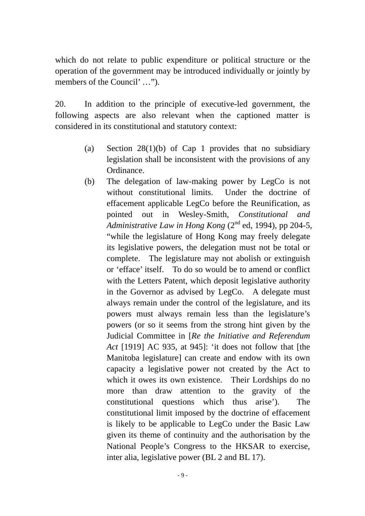which do not relate to public expenditure or political structure or the operation of the government may be introduced individually or jointly by members of the Council' …").

20. In addition to the principle of executive-led government, the following aspects are also relevant when the captioned matter is considered in its constitutional and statutory context:

- (a) Section 28(1)(b) of Cap 1 provides that no subsidiary legislation shall be inconsistent with the provisions of any Ordinance.
- (b) The delegation of law-making power by LegCo is not without constitutional limits. Under the doctrine of effacement applicable LegCo before the Reunification, as pointed out in Wesley-Smith, *Constitutional and Administrative Law in Hong Kong*  $(2^{nd}$  ed, 1994), pp 204-5, "while the legislature of Hong Kong may freely delegate its legislative powers, the delegation must not be total or complete. The legislature may not abolish or extinguish or 'efface' itself. To do so would be to amend or conflict with the Letters Patent, which deposit legislative authority in the Governor as advised by LegCo. A delegate must always remain under the control of the legislature, and its powers must always remain less than the legislature's powers (or so it seems from the strong hint given by the Judicial Committee in [*Re the Initiative and Referendum Act* [1919] AC 935, at 945]: 'it does not follow that [the Manitoba legislature] can create and endow with its own capacity a legislative power not created by the Act to which it owes its own existence. Their Lordships do no more than draw attention to the gravity of the constitutional questions which thus arise'). The constitutional limit imposed by the doctrine of effacement is likely to be applicable to LegCo under the Basic Law given its theme of continuity and the authorisation by the National People's Congress to the HKSAR to exercise, inter alia, legislative power (BL 2 and BL 17).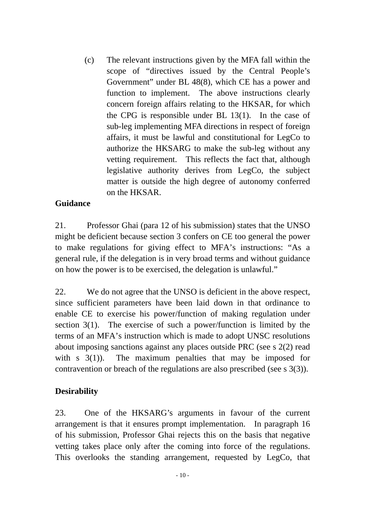(c) The relevant instructions given by the MFA fall within the scope of "directives issued by the Central People's Government" under BL 48(8), which CE has a power and function to implement. The above instructions clearly concern foreign affairs relating to the HKSAR, for which the CPG is responsible under BL 13(1). In the case of sub-leg implementing MFA directions in respect of foreign affairs, it must be lawful and constitutional for LegCo to authorize the HKSARG to make the sub-leg without any vetting requirement. This reflects the fact that, although legislative authority derives from LegCo, the subject matter is outside the high degree of autonomy conferred on the HKSAR.

## **Guidance**

21. Professor Ghai (para 12 of his submission) states that the UNSO might be deficient because section 3 confers on CE too general the power to make regulations for giving effect to MFA's instructions: "As a general rule, if the delegation is in very broad terms and without guidance on how the power is to be exercised, the delegation is unlawful."

22. We do not agree that the UNSO is deficient in the above respect, since sufficient parameters have been laid down in that ordinance to enable CE to exercise his power/function of making regulation under section 3(1). The exercise of such a power/function is limited by the terms of an MFA's instruction which is made to adopt UNSC resolutions about imposing sanctions against any places outside PRC (see s 2(2) read with s 3(1)). The maximum penalties that may be imposed for contravention or breach of the regulations are also prescribed (see s 3(3)).

#### **Desirability**

23. One of the HKSARG's arguments in favour of the current arrangement is that it ensures prompt implementation. In paragraph 16 of his submission, Professor Ghai rejects this on the basis that negative vetting takes place only after the coming into force of the regulations. This overlooks the standing arrangement, requested by LegCo, that